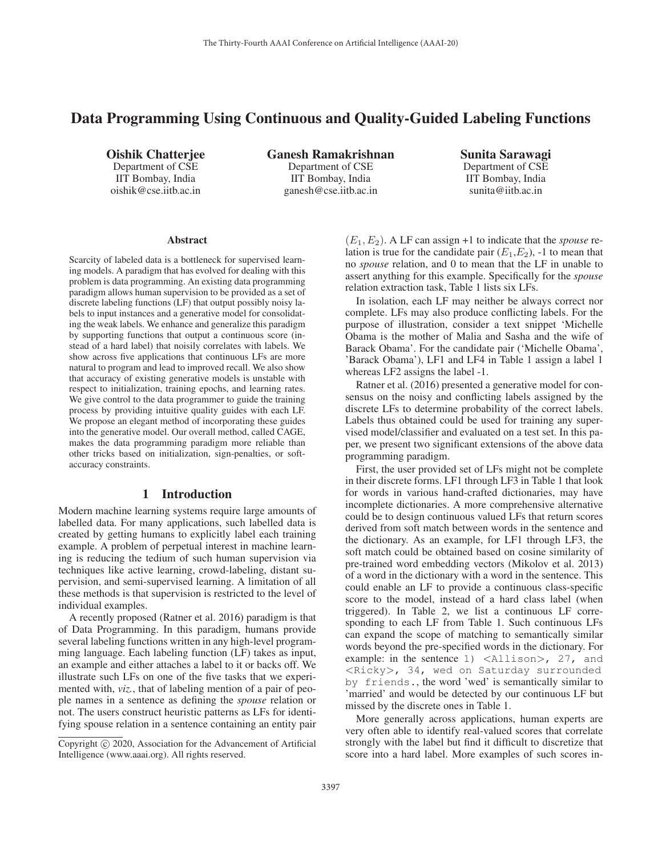# Data Programming Using Continuous and Quality-Guided Labeling Functions

Oishik Chatterjee Department of CSE IIT Bombay, India oishik@cse.iitb.ac.in

Ganesh Ramakrishnan Department of CSE IIT Bombay, India ganesh@cse.iitb.ac.in

Sunita Sarawagi Department of CSE IIT Bombay, India sunita@iitb.ac.in

#### **Abstract**

Scarcity of labeled data is a bottleneck for supervised learning models. A paradigm that has evolved for dealing with this problem is data programming. An existing data programming paradigm allows human supervision to be provided as a set of discrete labeling functions (LF) that output possibly noisy labels to input instances and a generative model for consolidating the weak labels. We enhance and generalize this paradigm by supporting functions that output a continuous score (instead of a hard label) that noisily correlates with labels. We show across five applications that continuous LFs are more natural to program and lead to improved recall. We also show that accuracy of existing generative models is unstable with respect to initialization, training epochs, and learning rates. We give control to the data programmer to guide the training process by providing intuitive quality guides with each LF. We propose an elegant method of incorporating these guides into the generative model. Our overall method, called CAGE, makes the data programming paradigm more reliable than other tricks based on initialization, sign-penalties, or softaccuracy constraints.

## 1 Introduction

Modern machine learning systems require large amounts of labelled data. For many applications, such labelled data is created by getting humans to explicitly label each training example. A problem of perpetual interest in machine learning is reducing the tedium of such human supervision via techniques like active learning, crowd-labeling, distant supervision, and semi-supervised learning. A limitation of all these methods is that supervision is restricted to the level of individual examples.

A recently proposed (Ratner et al. 2016) paradigm is that of Data Programming. In this paradigm, humans provide several labeling functions written in any high-level programming language. Each labeling function (LF) takes as input, an example and either attaches a label to it or backs off. We illustrate such LFs on one of the five tasks that we experimented with, *viz.*, that of labeling mention of a pair of people names in a sentence as defining the *spouse* relation or not. The users construct heuristic patterns as LFs for identifying spouse relation in a sentence containing an entity pair

 $(E_1, E_2)$ . A LF can assign +1 to indicate that the *spouse* relation is true for the candidate pair  $(E_1, E_2)$ , -1 to mean that no *spouse* relation, and 0 to mean that the LF in unable to assert anything for this example. Specifically for the *spouse* relation extraction task, Table 1 lists six LFs.

In isolation, each LF may neither be always correct nor complete. LFs may also produce conflicting labels. For the purpose of illustration, consider a text snippet 'Michelle Obama is the mother of Malia and Sasha and the wife of Barack Obama'. For the candidate pair ('Michelle Obama', 'Barack Obama'), LF1 and LF4 in Table 1 assign a label 1 whereas LF2 assigns the label -1.

Ratner et al. (2016) presented a generative model for consensus on the noisy and conflicting labels assigned by the discrete LFs to determine probability of the correct labels. Labels thus obtained could be used for training any supervised model/classifier and evaluated on a test set. In this paper, we present two significant extensions of the above data programming paradigm.

First, the user provided set of LFs might not be complete in their discrete forms. LF1 through LF3 in Table 1 that look for words in various hand-crafted dictionaries, may have incomplete dictionaries. A more comprehensive alternative could be to design continuous valued LFs that return scores derived from soft match between words in the sentence and the dictionary. As an example, for LF1 through LF3, the soft match could be obtained based on cosine similarity of pre-trained word embedding vectors (Mikolov et al. 2013) of a word in the dictionary with a word in the sentence. This could enable an LF to provide a continuous class-specific score to the model, instead of a hard class label (when triggered). In Table 2, we list a continuous LF corresponding to each LF from Table 1. Such continuous LFs can expand the scope of matching to semantically similar words beyond the pre-specified words in the dictionary. For example: in the sentence  $1)$   $\langle$ Allison $\rangle$ , 27, and <Ricky>, 34, wed on Saturday surrounded by friends., the word 'wed' is semantically similar to 'married' and would be detected by our continuous LF but missed by the discrete ones in Table 1.

More generally across applications, human experts are very often able to identify real-valued scores that correlate strongly with the label but find it difficult to discretize that score into a hard label. More examples of such scores in-

Copyright  $\odot$  2020, Association for the Advancement of Artificial Intelligence (www.aaai.org). All rights reserved.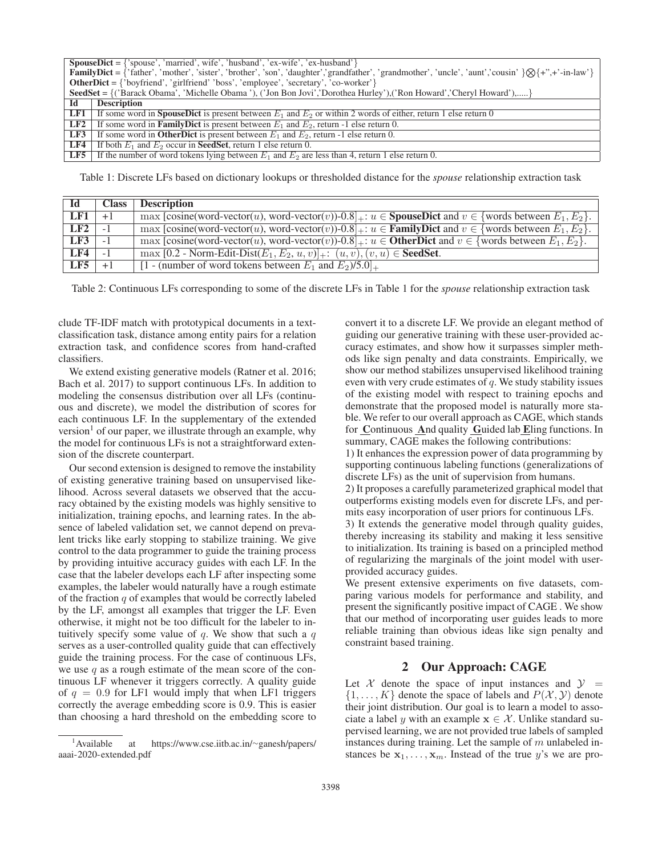|     | <b>SpouseDict</b> = $\{$ 'spouse', 'married', wife', 'husband', 'ex-wife', 'ex-husband' $\}$                                                                          |
|-----|-----------------------------------------------------------------------------------------------------------------------------------------------------------------------|
|     | <b>FamilyDict</b> = {'father', 'mother', 'sister', 'brother', 'son', 'daughter', 'grandfather', 'grandmother', 'uncle', 'aunt','cousin' $\{\otimes\}$ {+",+'-in-law'} |
|     | <b>OtherDict</b> = $\{$ 'boyfriend', 'girlfriend' 'boss', 'employee', 'secretary', 'co-worker' $\}$                                                                   |
|     | <b>SeedSet</b> = $\{('Barack Obama', 'Michelle Obama'), ('Jon Bon Jovi', 'Dorothea Hurley'), (' Ron Howard', 'Cheryl Howard'),\}$                                     |
| Id  | <b>Description</b>                                                                                                                                                    |
| LF1 | If some word in <b>SpouseDict</b> is present between $E_1$ and $E_2$ or within 2 words of either, return 1 else return 0                                              |
| LF2 | If some word in <b>FamilyDict</b> is present between $E_1$ and $E_2$ , return -1 else return 0.                                                                       |
| LF3 | If some word in <b>OtherDict</b> is present between $E_1$ and $E_2$ , return -1 else return 0.                                                                        |
| LF4 | If both $E_1$ and $E_2$ occur in <b>SeedSet</b> , return 1 else return 0.                                                                                             |
|     | <b>LF5</b> If the number of word tokens lying between $E_1$ and $E_2$ are less than 4, return 1 else return 0.                                                        |
|     |                                                                                                                                                                       |

Table 1: Discrete LFs based on dictionary lookups or thresholded distance for the *spouse* relationship extraction task

| - Id         | <b>Class</b> | <b>Description</b>                                                                                                       |
|--------------|--------------|--------------------------------------------------------------------------------------------------------------------------|
| <b>LF1</b> 1 | $+1$         | $\max$ [cosine(word-vector(u), word-vector(v))-0.8 + : $u \in$ SpouseDict and $v \in$ {words between $E_1, E_2$ }.       |
| LF2          | $-1$         | max [cosine(word-vector(u), word-vector(v))-0.8 + : $u \in$ <b>FamilyDict</b> and $v \in$ {words between $E_1, E_2$ }.   |
| LF3          | $-1$         | max [cosine(word-vector(u), word-vector(v))-0.8] $\downarrow : u \in$ OtherDict and $v \in$ {words between $E_1, E_2$ }. |
| <b>LF4</b>   | $-1$         | $\overline{\max [0.2]}$ - Norm-Edit-Dist $(E_1, E_2, u, v)$ : $(u, v), (v, u) \in \textbf{SeedSet}.$                     |
| LF5          | $+1$         | $[1 - (number of word tokens between E1 and E2)/5.0]_{+}$                                                                |
|              |              |                                                                                                                          |

Table 2: Continuous LFs corresponding to some of the discrete LFs in Table 1 for the *spouse* relationship extraction task

clude TF-IDF match with prototypical documents in a textclassification task, distance among entity pairs for a relation extraction task, and confidence scores from hand-crafted classifiers.

We extend existing generative models (Ratner et al. 2016; Bach et al. 2017) to support continuous LFs. In addition to modeling the consensus distribution over all LFs (continuous and discrete), we model the distribution of scores for each continuous LF. In the supplementary of the extended version<sup>1</sup> of our paper, we illustrate through an example, why the model for continuous LFs is not a straightforward extension of the discrete counterpart.

Our second extension is designed to remove the instability of existing generative training based on unsupervised likelihood. Across several datasets we observed that the accuracy obtained by the existing models was highly sensitive to initialization, training epochs, and learning rates. In the absence of labeled validation set, we cannot depend on prevalent tricks like early stopping to stabilize training. We give control to the data programmer to guide the training process by providing intuitive accuracy guides with each LF. In the case that the labeler develops each LF after inspecting some examples, the labeler would naturally have a rough estimate of the fraction  $q$  of examples that would be correctly labeled by the LF, amongst all examples that trigger the LF. Even otherwise, it might not be too difficult for the labeler to intuitively specify some value of  $q$ . We show that such a  $q$ serves as a user-controlled quality guide that can effectively guide the training process. For the case of continuous LFs, we use  $q$  as a rough estimate of the mean score of the continuous LF whenever it triggers correctly. A quality guide of  $q = 0.9$  for LF1 would imply that when LF1 triggers correctly the average embedding score is 0.9. This is easier than choosing a hard threshold on the embedding score to

convert it to a discrete LF. We provide an elegant method of guiding our generative training with these user-provided accuracy estimates, and show how it surpasses simpler methods like sign penalty and data constraints. Empirically, we show our method stabilizes unsupervised likelihood training even with very crude estimates of  $q$ . We study stability issues of the existing model with respect to training epochs and demonstrate that the proposed model is naturally more stable. We refer to our overall approach as CAGE, which stands for Continuous And quality Guided lab Eling functions. In summary, CAGE makes the following contributions:

1) It enhances the expression power of data programming by supporting continuous labeling functions (generalizations of discrete LFs) as the unit of supervision from humans.

2) It proposes a carefully parameterized graphical model that outperforms existing models even for discrete LFs, and permits easy incorporation of user priors for continuous LFs.

3) It extends the generative model through quality guides, thereby increasing its stability and making it less sensitive to initialization. Its training is based on a principled method of regularizing the marginals of the joint model with userprovided accuracy guides.

We present extensive experiments on five datasets, comparing various models for performance and stability, and present the significantly positive impact of CAGE . We show that our method of incorporating user guides leads to more reliable training than obvious ideas like sign penalty and constraint based training.

# 2 Our Approach: CAGE

Let X denote the space of input instances and  $\mathcal{Y}$  =  $\{1,\ldots,K\}$  denote the space of labels and  $P(\mathcal{X},\mathcal{Y})$  denote their joint distribution. Our goal is to learn a model to associate a label y with an example  $\mathbf{x} \in \mathcal{X}$ . Unlike standard supervised learning, we are not provided true labels of sampled instances during training. Let the sample of  $m$  unlabeled instances be  $x_1, \ldots, x_m$ . Instead of the true y's we are pro-

<sup>&</sup>lt;sup>1</sup>Available at https://www.cse.iitb.ac.in/∼ganesh/papers/ aaai-2020-extended.pdf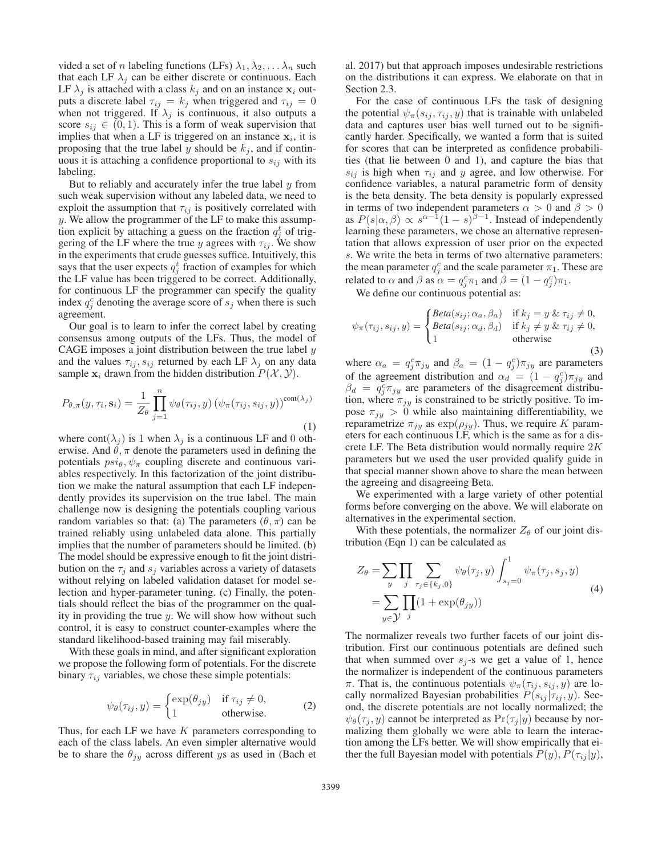vided a set of n labeling functions (LFs)  $\lambda_1, \lambda_2, \ldots, \lambda_n$  such that each LF  $\lambda_i$  can be either discrete or continuous. Each LF  $\lambda_i$  is attached with a class  $k_i$  and on an instance  $\mathbf{x}_i$  outputs a discrete label  $\tau_{ij} = k_j$  when triggered and  $\tau_{ij} = 0$ when not triggered. If  $\lambda_i$  is continuous, it also outputs a score  $s_{ij} \in (0, 1)$ . This is a form of weak supervision that implies that when a LF is triggered on an instance  $x_i$ , it is proposing that the true label y should be  $k_j$ , and if continuous it is attaching a confidence proportional to  $s_{ij}$  with its labeling.

But to reliably and accurately infer the true label  $y$  from such weak supervision without any labeled data, we need to exploit the assumption that  $\tau_{ij}$  is positively correlated with y. We allow the programmer of the LF to make this assumption explicit by attaching a guess on the fraction  $q_i^t$  of triggering of the LF where the true y agrees with  $\tau_{ij}$ . We show in the experiments that crude guesses suffice. Intuitively, this says that the user expects  $q_i^t$  fraction of examples for which the LF value has been triggered to be correct. Additionally, for continuous LF the programmer can specify the quality index  $q_i^c$  denoting the average score of  $s_j$  when there is such agreement.

Our goal is to learn to infer the correct label by creating consensus among outputs of the LFs. Thus, the model of CAGE imposes a joint distribution between the true label  $y$ and the values  $\tau_{ij}$ ,  $s_{ij}$  returned by each LF  $\lambda_j$  on any data sample  $\mathbf{x}_i$  drawn from the hidden distribution  $P(\mathcal{X}, \mathcal{Y})$ .

$$
P_{\theta,\pi}(y,\tau_i,\mathbf{s}_i) = \frac{1}{Z_{\theta}} \prod_{j=1}^n \psi_{\theta}(\tau_{ij},y) \left(\psi_{\pi}(\tau_{ij},s_{ij},y)\right)^{\text{cont}(\lambda_j)}
$$
\n(1)

where  $cont(\lambda_j)$  is 1 when  $\lambda_j$  is a continuous LF and 0 otherwise. And  $\hat{\theta}$ ,  $\pi$  denote the parameters used in defining the potentials  $psi, \psi_{\pi}$  coupling discrete and continuous variables respectively. In this factorization of the joint distribution we make the natural assumption that each LF independently provides its supervision on the true label. The main challenge now is designing the potentials coupling various random variables so that: (a) The parameters  $(\theta, \pi)$  can be trained reliably using unlabeled data alone. This partially implies that the number of parameters should be limited. (b) The model should be expressive enough to fit the joint distribution on the  $\tau_i$  and  $s_j$  variables across a variety of datasets without relying on labeled validation dataset for model selection and hyper-parameter tuning. (c) Finally, the potentials should reflect the bias of the programmer on the quality in providing the true  $y$ . We will show how without such control, it is easy to construct counter-examples where the standard likelihood-based training may fail miserably.

With these goals in mind, and after significant exploration we propose the following form of potentials. For the discrete binary  $\tau_{ij}$  variables, we chose these simple potentials:

$$
\psi_{\theta}(\tau_{ij}, y) = \begin{cases} \exp(\theta_{jy}) & \text{if } \tau_{ij} \neq 0, \\ 1 & \text{otherwise.} \end{cases}
$$
 (2)

Thus, for each LF we have  $K$  parameters corresponding to each of the class labels. An even simpler alternative would be to share the  $\theta_{jy}$  across different ys as used in (Bach et

al. 2017) but that approach imposes undesirable restrictions on the distributions it can express. We elaborate on that in Section 2.3.

For the case of continuous LFs the task of designing the potential  $\psi_{\pi}(s_{ij}, \tau_{ij}, y)$  that is trainable with unlabeled data and captures user bias well turned out to be significantly harder. Specifically, we wanted a form that is suited for scores that can be interpreted as confidence probabilities (that lie between 0 and 1), and capture the bias that  $s_{ij}$  is high when  $\tau_{ij}$  and y agree, and low otherwise. For confidence variables, a natural parametric form of density is the beta density. The beta density is popularly expressed in terms of two independent parameters  $\alpha > 0$  and  $\beta > 0$ as  $P(s|\alpha, \beta) \propto s^{\alpha-1}(1-s)^{\beta-1}$ . Instead of independently learning these parameters, we chose an alternative representation that allows expression of user prior on the expected s. We write the beta in terms of two alternative parameters: the mean parameter  $q_i^c$  and the scale parameter  $\pi_1$ . These are related to  $\alpha$  and  $\beta$  as  $\alpha = q_f^c \pi_1$  and  $\beta = (1 - q_f^c) \pi_1$ .<br>We define our continuous potential as:

We define our continuous potential as:

$$
\psi_{\pi}(\tau_{ij}, s_{ij}, y) = \begin{cases} \text{Beta}(s_{ij}; \alpha_a, \beta_a) & \text{if } k_j = y \& \tau_{ij} \neq 0, \\ \text{Beta}(s_{ij}; \alpha_d, \beta_d) & \text{if } k_j \neq y \& \tau_{ij} \neq 0, \\ 1 & \text{otherwise} \end{cases}
$$
(3)

where  $\alpha_a = q_f^c \pi_{jy}$  and  $\beta_a = (1 - q_f^c) \pi_{jy}$  are parameters<br>of the agreement distribution and  $\alpha_j = (1 - q_f^c) \pi_{j}$  and of the agreement distribution and  $\alpha_d = (1 - q_f^c) \pi_{jy}$  and  $\beta_d = a_c^c \pi_{jxy}$  are parameters of the disagreement distribu- $\beta_d = q_f^c \pi_{jy}$  are parameters of the disagreement distribu-<br>tion where  $\pi_{jy}$  is constrained to be strictly positive. To imtion, where  $\pi_{jy}$  is constrained to be strictly positive. To impose  $\pi_{iy} > 0$  while also maintaining differentiability, we reparametrize  $\pi_{jy}$  as  $\exp(\rho_{jy})$ . Thus, we require K parameters for each continuous LF, which is the same as for a discrete LF. The Beta distribution would normally require 2<sup>K</sup> parameters but we used the user provided qualify guide in that special manner shown above to share the mean between the agreeing and disagreeing Beta.

We experimented with a large variety of other potential forms before converging on the above. We will elaborate on alternatives in the experimental section.

With these potentials, the normalizer  $Z_{\theta}$  of our joint distribution (Eqn 1) can be calculated as

$$
Z_{\theta} = \sum_{y} \prod_{j} \sum_{\tau_{j} \in \{k_{j}, 0\}} \psi_{\theta}(\tau_{j}, y) \int_{s_{j}=0}^{1} \psi_{\pi}(\tau_{j}, s_{j}, y)
$$
  
= 
$$
\sum_{y \in \mathcal{Y}} \prod_{j} (1 + \exp(\theta_{jy}))
$$
 (4)

The normalizer reveals two further facets of our joint distribution. First our continuous potentials are defined such that when summed over  $s_i$ -s we get a value of 1, hence the normalizer is independent of the continuous parameters π. That is, the continuous potentials  $\psi_{\pi}(\tau_{ij}, s_{ij}, y)$  are locally normalized Bayesian probabilities  $P(s_{ij} | \tau_{ij}, y)$ . Second, the discrete potentials are not locally normalized; the  $\psi_{\theta}(\tau_i, y)$  cannot be interpreted as  $Pr(\tau_i | y)$  because by normalizing them globally we were able to learn the interaction among the LFs better. We will show empirically that either the full Bayesian model with potentials  $P(y)$ ,  $P(\tau_{ij} | y)$ ,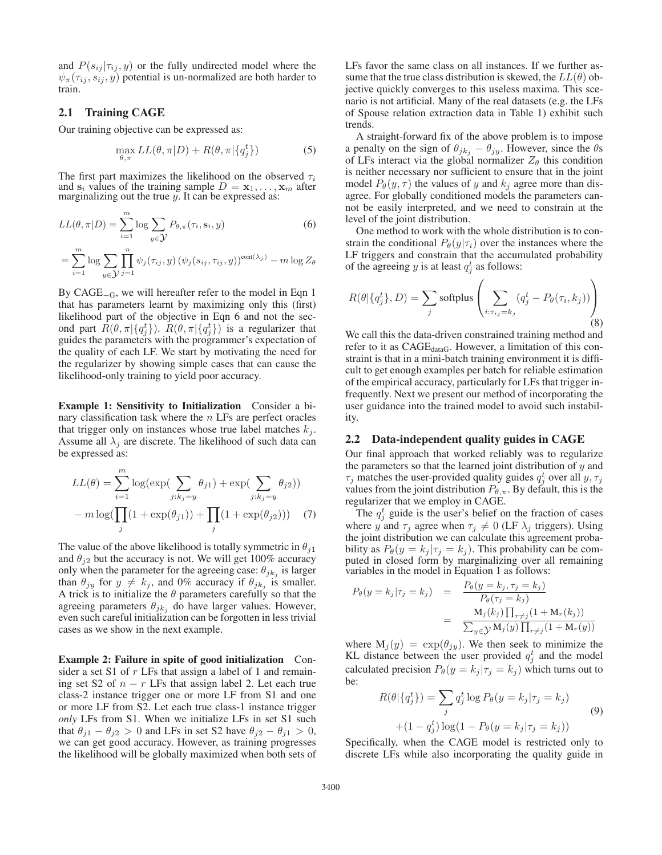and  $P(s_{ij} | \tau_{ij}, y)$  or the fully undirected model where the  $\psi_{\pi}(\tau_{ij}, s_{ij}, y)$  potential is un-normalized are both harder to train.

## 2.1 Training CAGE

Our training objective can be expressed as:

$$
\max_{\theta,\pi} LL(\theta,\pi|D) + R(\theta,\pi|\{q_j^t\})
$$
\n(5)

The first part maximizes the likelihood on the observed  $\tau_i$ and  $\mathbf{s}_i$  values of the training sample  $D = \mathbf{x}_1, \dots, \mathbf{x}_m$  after marginalizing out the true  $\tilde{y}$ . It can be expressed as:

$$
LL(\theta, \pi | D) = \sum_{i=1}^{m} \log \sum_{y \in \mathcal{Y}} P_{\theta, \pi}(\tau_i, \mathbf{s}_i, y)
$$
(6)

$$
= \sum_{i=1}^{m} \log \sum_{y \in \mathcal{Y}} \prod_{j=1}^{n} \psi_j(\tau_{ij}, y) (\psi_j(s_{ij}, \tau_{ij}, y))^{\text{cont}(\lambda_j)} - m \log Z_{\theta}
$$

By CAGE−G, we will hereafter refer to the model in Eqn 1 that has parameters learnt by maximizing only this (first) likelihood part of the objective in Eqn 6 and not the second part  $\vec{R}(\theta, \pi | {\{q_j^t\}})$ .  $\vec{R}(\theta, \pi | {\{q_j^t\}})$  is a regularizer that puides the parameters with the programmer's expectation of guides the parameters with the programmer's expectation of the quality of each LF. We start by motivating the need for the regularizer by showing simple cases that can cause the likelihood-only training to yield poor accuracy.

Example 1: Sensitivity to Initialization Consider a binary classification task where the  $n$  LFs are perfect oracles that trigger only on instances whose true label matches  $k_i$ . Assume all  $\lambda_i$  are discrete. The likelihood of such data can be expressed as:

$$
LL(\theta) = \sum_{i=1}^{m} \log(\exp(\sum_{j:k_j=y} \theta_{j1}) + \exp(\sum_{j:k_j=y} \theta_{j2})) - m \log(\prod_{j} (1 + \exp(\theta_{j1})) + \prod_{j} (1 + \exp(\theta_{j2})))
$$
 (7)

The value of the above likelihood is totally symmetric in  $\theta_{i1}$ and  $\theta_{j2}$  but the accuracy is not. We will get 100% accuracy only when the parameter for the agreeing case:  $\theta_{jk}$  is larger than  $\theta_{jy}$  for  $y \neq k_j$ , and 0% accuracy if  $\theta_{jk}$  is smaller. A trick is to initialize the  $\theta$  parameters carefully so that the agreeing parameters  $\theta_{ik_i}$  do have larger values. However, even such careful initialization can be forgotten in less trivial cases as we show in the next example.

Example 2: Failure in spite of good initialization Consider a set S1 of  $r$  LFs that assign a label of 1 and remaining set S2 of  $n - r$  LFs that assign label 2. Let each true class-2 instance trigger one or more LF from S1 and one or more LF from S2. Let each true class-1 instance trigger *only* LFs from S1. When we initialize LFs in set S1 such that  $\theta_{i1} - \theta_{i2} > 0$  and LFs in set S2 have  $\theta_{i2} - \theta_{i1} > 0$ , we can get good accuracy. However, as training progresses the likelihood will be globally maximized when both sets of LFs favor the same class on all instances. If we further assume that the true class distribution is skewed, the  $LL(\theta)$  objective quickly converges to this useless maxima. This scenario is not artificial. Many of the real datasets (e.g. the LFs of Spouse relation extraction data in Table 1) exhibit such trends.

A straight-forward fix of the above problem is to impose a penalty on the sign of  $\theta_{jk_j} - \theta_{jy}$ . However, since the  $\theta$ s of LFs interact via the global normalizer  $Z_{\theta}$  this condition is neither necessary nor sufficient to ensure that in the joint model  $P_{\theta}(y, \tau)$  the values of y and  $k_i$  agree more than disagree. For globally conditioned models the parameters cannot be easily interpreted, and we need to constrain at the level of the joint distribution.

One method to work with the whole distribution is to constrain the conditional  $P_{\theta}(y|\tau_i)$  over the instances where the LF triggers and constrain that the accumulated probability of the agreeing y is at least  $q_i^t$  as follows:

$$
R(\theta | \{q_j^t\}, D) = \sum_j \text{softplus} \left( \sum_{i: \tau_{ij} = k_j} (q_j^t - P_{\theta}(\tau_i, k_j)) \right)
$$
\n(8)

We call this the data-driven constrained training method and refer to it as CAGE<sub>dataG</sub>. However, a limitation of this constraint is that in a mini-batch training environment it is difficult to get enough examples per batch for reliable estimation of the empirical accuracy, particularly for LFs that trigger infrequently. Next we present our method of incorporating the user guidance into the trained model to avoid such instability.

## 2.2 Data-independent quality guides in CAGE

Our final approach that worked reliably was to regularize the parameters so that the learned joint distribution of  $y$  and  $\tau_j$  matches the user-provided quality guides  $q_i^t$  over all  $y, \tau_j$ values from the joint distribution  $P_{\theta,\pi}$ . By default, this is the regularizer that we employ in CAGE.

The  $q_i^t$  guide is the user's belief on the fraction of cases where y and  $\tau_j$  agree when  $\tau_j \neq 0$  (LF  $\lambda_j$  triggers). Using the joint distribution we can calculate this agreement probability as  $P_{\theta}(y = k_j | \tau_j = k_j)$ . This probability can be computed in closed form by marginalizing over all remaining variables in the model in Equation 1 as follows:

$$
P_{\theta}(y = k_j | \tau_j = k_j) = \frac{P_{\theta}(y = k_j, \tau_j = k_j)}{P_{\theta}(\tau_j = k_j)}
$$
  
= 
$$
\frac{\mathbf{M}_j(k_j) \prod_{r \neq j} (1 + \mathbf{M}_r(k_j))}{\sum_{y \in \mathcal{Y}} \mathbf{M}_j(y) \prod_{r \neq j} (1 + \mathbf{M}_r(y))}
$$

where  $M_j(y) = \exp(\theta_{jy})$ . We then seek to minimize the KL distance between the user provided  $q_i^t$  and the model calculated precision  $P_{\theta}(y = k_j | \tau_j = k_j)$  which turns out to be:

$$
R(\theta | \{q_j^t\}) = \sum_j q_j^t \log P_\theta(y = k_j | \tau_j = k_j)
$$
  
+ 
$$
(1 - q_j^t) \log(1 - P_\theta(y = k_j | \tau_j = k_j))
$$
  
Specifically, when the CAGE model is restricted only to

discrete LFs while also incorporating the quality guide in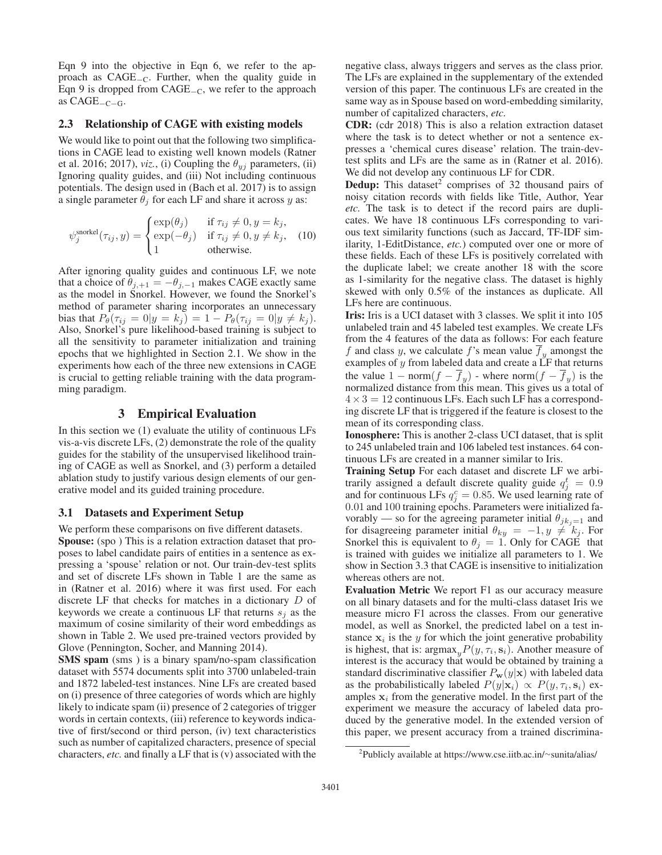Eqn 9 into the objective in Eqn 6, we refer to the approach as CAGE−C. Further, when the quality guide in Eqn 9 is dropped from CAGE−C, we refer to the approach as CAGE−C−G.

#### 2.3 Relationship of CAGE with existing models

We would like to point out that the following two simplifications in CAGE lead to existing well known models (Ratner et al. 2016; 2017), *viz.*, (i) Coupling the  $\theta_{yj}$  parameters, (ii) Ignoring quality guides, and (iii) Not including continuous potentials. The design used in (Bach et al. 2017) is to assign a single parameter  $\theta_j$  for each LF and share it across y as:

$$
\psi_j^{\text{snorkel}}(\tau_{ij}, y) = \begin{cases} \exp(\theta_j) & \text{if } \tau_{ij} \neq 0, y = k_j, \\ \exp(-\theta_j) & \text{if } \tau_{ij} \neq 0, y \neq k_j, \\ 1 & \text{otherwise.} \end{cases} \tag{10}
$$

After ignoring quality guides and continuous LF, we note that a choice of  $\theta_{j,+1} = -\theta_{j,-1}$  makes CAGE exactly same as the model in Snorkel. However, we found the Snorkel's method of parameter sharing incorporates an unnecessary bias that  $P_{\theta}(\tau_{ij} = 0 | y = k_j) = 1 - P_{\theta}(\tau_{ij} = 0 | y \neq k_j).$ Also, Snorkel's pure likelihood-based training is subject to all the sensitivity to parameter initialization and training epochs that we highlighted in Section 2.1. We show in the experiments how each of the three new extensions in CAGE is crucial to getting reliable training with the data programming paradigm.

## 3 Empirical Evaluation

In this section we (1) evaluate the utility of continuous LFs vis-a-vis discrete LFs, (2) demonstrate the role of the quality guides for the stability of the unsupervised likelihood training of CAGE as well as Snorkel, and (3) perform a detailed ablation study to justify various design elements of our generative model and its guided training procedure.

### 3.1 Datasets and Experiment Setup

We perform these comparisons on five different datasets. Spouse: (spo ) This is a relation extraction dataset that proposes to label candidate pairs of entities in a sentence as expressing a 'spouse' relation or not. Our train-dev-test splits and set of discrete LFs shown in Table 1 are the same as in (Ratner et al. 2016) where it was first used. For each discrete LF that checks for matches in a dictionary D of keywords we create a continuous LF that returns  $s_i$  as the maximum of cosine similarity of their word embeddings as shown in Table 2. We used pre-trained vectors provided by Glove (Pennington, Socher, and Manning 2014).

SMS spam (sms ) is a binary spam/no-spam classification dataset with 5574 documents split into 3700 unlabeled-train and 1872 labeled-test instances. Nine LFs are created based on (i) presence of three categories of words which are highly likely to indicate spam (ii) presence of 2 categories of trigger words in certain contexts, (iii) reference to keywords indicative of first/second or third person, (iv) text characteristics such as number of capitalized characters, presence of special characters, *etc.* and finally a LF that is (v) associated with the negative class, always triggers and serves as the class prior. The LFs are explained in the supplementary of the extended version of this paper. The continuous LFs are created in the same way as in Spouse based on word-embedding similarity, number of capitalized characters, *etc.*

CDR: (cdr 2018) This is also a relation extraction dataset where the task is to detect whether or not a sentence expresses a 'chemical cures disease' relation. The train-devtest splits and LFs are the same as in (Ratner et al. 2016). We did not develop any continuous LF for CDR.

**Dedup:** This dataset<sup>2</sup> comprises of 32 thousand pairs of noisy citation records with fields like Title, Author, Year *etc.* The task is to detect if the record pairs are duplicates. We have 18 continuous LFs corresponding to various text similarity functions (such as Jaccard, TF-IDF similarity, 1-EditDistance, *etc.*) computed over one or more of these fields. Each of these LFs is positively correlated with the duplicate label; we create another 18 with the score as 1-similarity for the negative class. The dataset is highly skewed with only 0.5% of the instances as duplicate. All LFs here are continuous.

Iris: Iris is a UCI dataset with 3 classes. We split it into 105 unlabeled train and 45 labeled test examples. We create LFs from the 4 features of the data as follows: For each feature f and class y, we calculate f's mean value  $f<sub>y</sub>$  amongst the examples of  $y$  from labeled data and create a  $\angle$ F that returns the value  $1 - norm(f - \overline{f}_y)$  - where norm $(f - \overline{f}_y)$  is the normalized distance from this mean. This gives us a total of  $4 \times 3 = 12$  continuous LFs. Each such LF has a corresponding discrete LF that is triggered if the feature is closest to the mean of its corresponding class.

Ionosphere: This is another 2-class UCI dataset, that is split to 245 unlabeled train and 106 labeled test instances. 64 continuous LFs are created in a manner similar to Iris.

Training Setup For each dataset and discrete LF we arbitrarily assigned a default discrete quality guide  $q_j^t = 0.9$ <br>and for continuous LEs  $q_i^e = 0.85$ . We used learning rate of and for continuous LFs  $q_g^c = 0.85$ . We used learning rate of 0.01 and 100 training enochs. Parameters were initialized fa-0.01 and 100 training epochs. Parameters were initialized favorably — so for the agreeing parameter initial  $\theta_{jk}=1$  and for disagreeing parameter initial  $\theta_{ky} = -1, y \neq k_j$ . For Snorkel this is equivalent to  $\theta_j = 1$ . Only for CAGE that is trained with guides we initialize all parameters to 1. We show in Section 3.3 that CAGE is insensitive to initialization whereas others are not.

Evaluation Metric We report F1 as our accuracy measure on all binary datasets and for the multi-class dataset Iris we measure micro F1 across the classes. From our generative model, as well as Snorkel, the predicted label on a test instance  $x_i$  is the y for which the joint generative probability is highest, that is:  $\argmax_{y} P(y, \tau_i, \mathbf{s}_i)$ . Another measure of interest is the accuracy that would be obtained by training a standard discriminative classifier  $P_w(y|\mathbf{x})$  with labeled data as the probabilistically labeled  $P(y|\mathbf{x}_i) \propto P(y, \tau_i, \mathbf{s}_i)$  examples  $x_i$  from the generative model. In the first part of the experiment we measure the accuracy of labeled data produced by the generative model. In the extended version of this paper, we present accuracy from a trained discrimina-

<sup>2</sup> Publicly available at https://www.cse.iitb.ac.in/∼sunita/alias/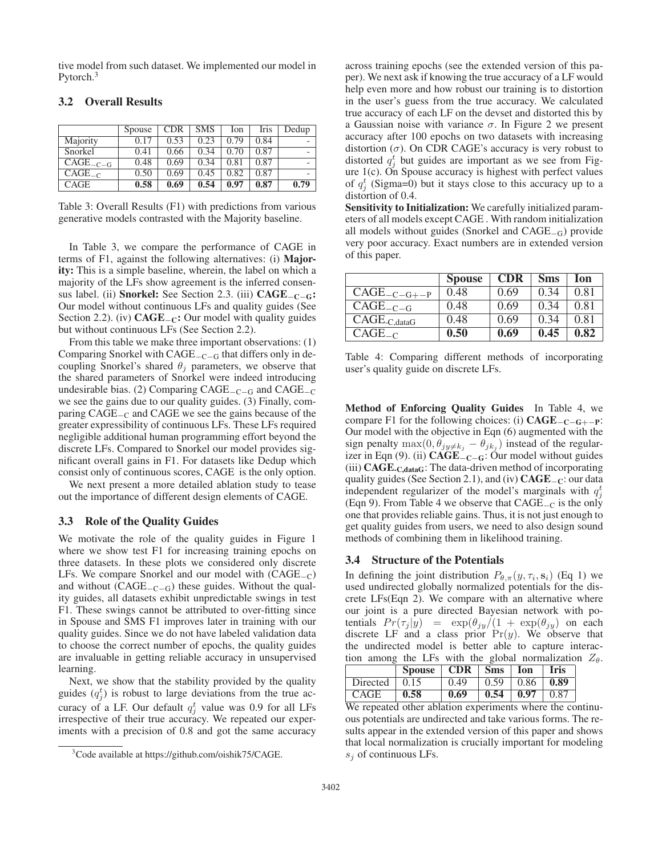tive model from such dataset. We implemented our model in Pytorch.<sup>3</sup>

|               | Spouse | <b>CDR</b> | <b>SMS</b> | Ion  | Iris | Dedup |
|---------------|--------|------------|------------|------|------|-------|
| Majority      | 0.17   | 0.53       | 0.23       | 0.79 | 0.84 |       |
| Snorkel       | 0.41   | 0.66       | 0.34       | 0.70 | 0.87 |       |
| $CAGE_{-C-G}$ | 0.48   | 0.69       | 0.34       | 0.81 | 0.87 |       |
| $CAGE_{-C}$   | 0.50   | 0.69       | 0.45       | 0.82 | 0.87 |       |
| <b>CAGE</b>   | 0.58   | 0.69       | 0.54       | 0.97 | 0.87 | 0.79  |

### 3.2 Overall Results

Table 3: Overall Results (F1) with predictions from various generative models contrasted with the Majority baseline.

In Table 3, we compare the performance of CAGE in terms of F1, against the following alternatives: (i) Majority: This is a simple baseline, wherein, the label on which a majority of the LFs show agreement is the inferred consensus label. (ii) Snorkel: See Section 2.3. (iii)  $CAGE_{-C-G}$ : Our model without continuous LFs and quality guides (See Section 2.2). (iv)  $CAGE_{-C}$ : Our model with quality guides but without continuous LFs (See Section 2.2).

From this table we make three important observations: (1) Comparing Snorkel with CAGE−C−<sup>G</sup> that differs only in decoupling Snorkel's shared  $\theta_i$  parameters, we observe that the shared parameters of Snorkel were indeed introducing undesirable bias. (2) Comparing  $CAGE<sub>-C−G</sub>$  and  $CAGE<sub>-C</sub>$ we see the gains due to our quality guides. (3) Finally, comparing CAGE−<sup>C</sup> and CAGE we see the gains because of the greater expressibility of continuous LFs. These LFs required negligible additional human programming effort beyond the discrete LFs. Compared to Snorkel our model provides significant overall gains in F1. For datasets like Dedup which consist only of continuous scores, CAGE is the only option.

We next present a more detailed ablation study to tease out the importance of different design elements of CAGE.

# 3.3 Role of the Quality Guides

We motivate the role of the quality guides in Figure 1 where we show test F1 for increasing training epochs on three datasets. In these plots we considered only discrete LFs. We compare Snorkel and our model with  $(CAGE<sub>-C</sub>)$ and without  $(CAGE_{-C-G})$  these guides. Without the quality guides, all datasets exhibit unpredictable swings in test F1. These swings cannot be attributed to over-fitting since in Spouse and SMS F1 improves later in training with our quality guides. Since we do not have labeled validation data to choose the correct number of epochs, the quality guides are invaluable in getting reliable accuracy in unsupervised learning.

Next, we show that the stability provided by the quality guides  $(q_i^t)$  is robust to large deviations from the true accuracy of a LF. Our default  $q_i^t$  value was 0.9 for all LFs irrespective of their true accuracy. We repeated our experiments with a precision of 0.8 and got the same accuracy

across training epochs (see the extended version of this paper). We next ask if knowing the true accuracy of a LF would help even more and how robust our training is to distortion in the user's guess from the true accuracy. We calculated true accuracy of each LF on the devset and distorted this by a Gaussian noise with variance  $\sigma$ . In Figure 2 we present accuracy after 100 epochs on two datasets with increasing distortion  $(\sigma)$ . On CDR CAGE's accuracy is very robust to distorted  $q_i^t$  but guides are important as we see from Figure  $1(c)$ . On Spouse accuracy is highest with perfect values of  $q_i^t$  (Sigma=0) but it stays close to this accuracy up to a distortion of 0.4.

Sensitivity to Initialization: We carefully initialized parameters of all models except CAGE . With random initialization all models without guides (Snorkel and CAGE−G) provide very poor accuracy. Exact numbers are in extended version of this paper.

|                   | <b>Spouse</b> | <b>CDR</b> | <b>Sms</b> | Ion  |
|-------------------|---------------|------------|------------|------|
| $CAGE_{-C-G+-P}$  | 0.48          | 0.69       | 0.34       | 0.81 |
| $CAGE_{-C-G}$     | 0.48          | 0.69       | 0.34       | 0.81 |
| $CAGE_{C, dataG}$ | 0.48          | 0.69       | 0.34       | 0.81 |
| $CAGE_{-C}$       | 0.50          | 0.69       | 0.45       | 0.82 |

Table 4: Comparing different methods of incorporating user's quality guide on discrete LFs.

Method of Enforcing Quality Guides In Table 4, we compare F1 for the following choices: (i)  $CAGE_{-C-G+-P}$ : Our model with the objective in Eqn (6) augmented with the sign penalty max $(0, \theta_{j} \neq k_j - \theta_{j} k_j)$  instead of the regularizer in Eqn (9). (ii)  $CAGE_{-C-G}$ : Our model without guides (iii) CAGE-C,dataG: The data-driven method of incorporating quality guides (See Section 2.1), and (iv) CAGE<sub>−C</sub>: our data independent regularizer of the model's marginals with  $q_i^t$ (Eqn 9). From Table 4 we observe that CAGE−<sup>C</sup> is the only one that provides reliable gains. Thus, it is not just enough to get quality guides from users, we need to also design sound methods of combining them in likelihood training.

### 3.4 Structure of the Potentials

In defining the joint distribution  $P_{\theta,\pi}(y,\tau_i,\mathbf{s}_i)$  (Eq 1) we used undirected globally normalized potentials for the discrete LFs(Eqn 2). We compare with an alternative where our joint is a pure directed Bayesian network with potentials  $Pr(\tau_j | y) = \exp(\theta_{jy}/(1 + \exp(\theta_{jy}))$  on each discrete LF and a class prior  $Pr(y)$ . We observe that the undirected model is better able to capture interaction among the LFs with the global normalization  $Z_{\theta}$ .

|          | Spouse $\mid$ CDR $\mid$ Sms $\mid$ Ion $\mid$ Iris |      |                               |                 |      |
|----------|-----------------------------------------------------|------|-------------------------------|-----------------|------|
| Directed | 10.15                                               | 0.49 | $\vert 0.59 \vert 0.86 \vert$ |                 | 0.89 |
| CAGE     | 0.58                                                | 0.69 |                               | $0.54 \pm 0.97$ | 0.87 |

We repeated other ablation experiments where the continuous potentials are undirected and take various forms. The results appear in the extended version of this paper and shows that local normalization is crucially important for modeling  $s_i$  of continuous LFs.

<sup>3</sup> Code available at https://github.com/oishik75/CAGE.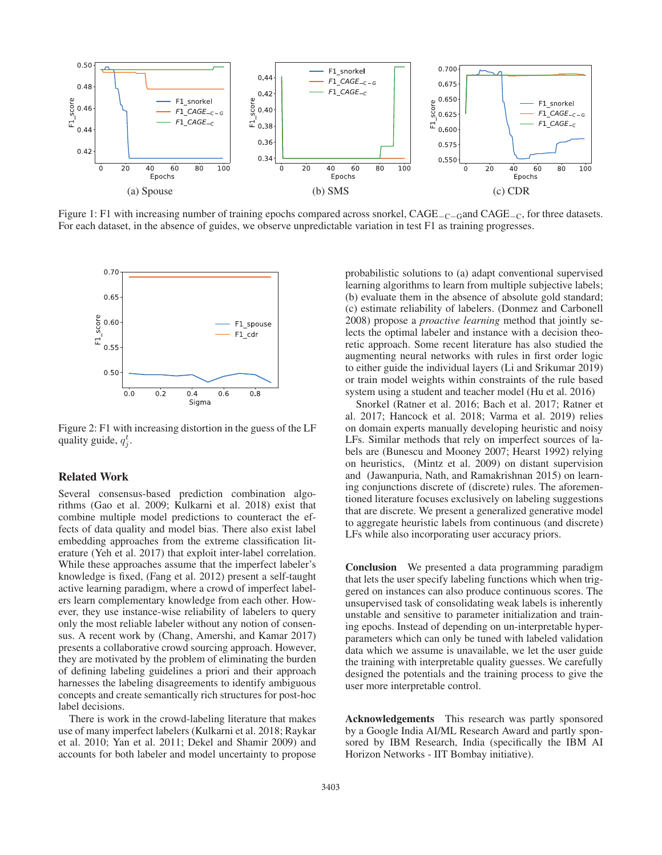

Figure 1: F1 with increasing number of training epochs compared across snorkel, CAGE<sub>−C−G</sub>and CAGE<sub>−C</sub>, for three datasets. For each dataset, in the absence of guides, we observe unpredictable variation in test F1 as training progresses.



Figure 2: F1 with increasing distortion in the guess of the LF quality guide,  $q_i^t$ .

# Related Work

Several consensus-based prediction combination algorithms (Gao et al. 2009; Kulkarni et al. 2018) exist that combine multiple model predictions to counteract the effects of data quality and model bias. There also exist label embedding approaches from the extreme classification literature (Yeh et al. 2017) that exploit inter-label correlation. While these approaches assume that the imperfect labeler's knowledge is fixed, (Fang et al. 2012) present a self-taught active learning paradigm, where a crowd of imperfect labelers learn complementary knowledge from each other. However, they use instance-wise reliability of labelers to query only the most reliable labeler without any notion of consensus. A recent work by (Chang, Amershi, and Kamar 2017) presents a collaborative crowd sourcing approach. However, they are motivated by the problem of eliminating the burden of defining labeling guidelines a priori and their approach harnesses the labeling disagreements to identify ambiguous concepts and create semantically rich structures for post-hoc label decisions.

There is work in the crowd-labeling literature that makes use of many imperfect labelers (Kulkarni et al. 2018; Raykar et al. 2010; Yan et al. 2011; Dekel and Shamir 2009) and accounts for both labeler and model uncertainty to propose

probabilistic solutions to (a) adapt conventional supervised learning algorithms to learn from multiple subjective labels; (b) evaluate them in the absence of absolute gold standard; (c) estimate reliability of labelers. (Donmez and Carbonell 2008) propose a *proactive learning* method that jointly selects the optimal labeler and instance with a decision theoretic approach. Some recent literature has also studied the augmenting neural networks with rules in first order logic to either guide the individual layers (Li and Srikumar 2019) or train model weights within constraints of the rule based system using a student and teacher model (Hu et al. 2016)

Snorkel (Ratner et al. 2016; Bach et al. 2017; Ratner et al. 2017; Hancock et al. 2018; Varma et al. 2019) relies on domain experts manually developing heuristic and noisy LFs. Similar methods that rely on imperfect sources of labels are (Bunescu and Mooney 2007; Hearst 1992) relying on heuristics, (Mintz et al. 2009) on distant supervision and (Jawanpuria, Nath, and Ramakrishnan 2015) on learning conjunctions discrete of (discrete) rules. The aforementioned literature focuses exclusively on labeling suggestions that are discrete. We present a generalized generative model to aggregate heuristic labels from continuous (and discrete) LFs while also incorporating user accuracy priors.

Conclusion We presented a data programming paradigm that lets the user specify labeling functions which when triggered on instances can also produce continuous scores. The unsupervised task of consolidating weak labels is inherently unstable and sensitive to parameter initialization and training epochs. Instead of depending on un-interpretable hyperparameters which can only be tuned with labeled validation data which we assume is unavailable, we let the user guide the training with interpretable quality guesses. We carefully designed the potentials and the training process to give the user more interpretable control.

Acknowledgements This research was partly sponsored by a Google India AI/ML Research Award and partly sponsored by IBM Research, India (specifically the IBM AI Horizon Networks - IIT Bombay initiative).